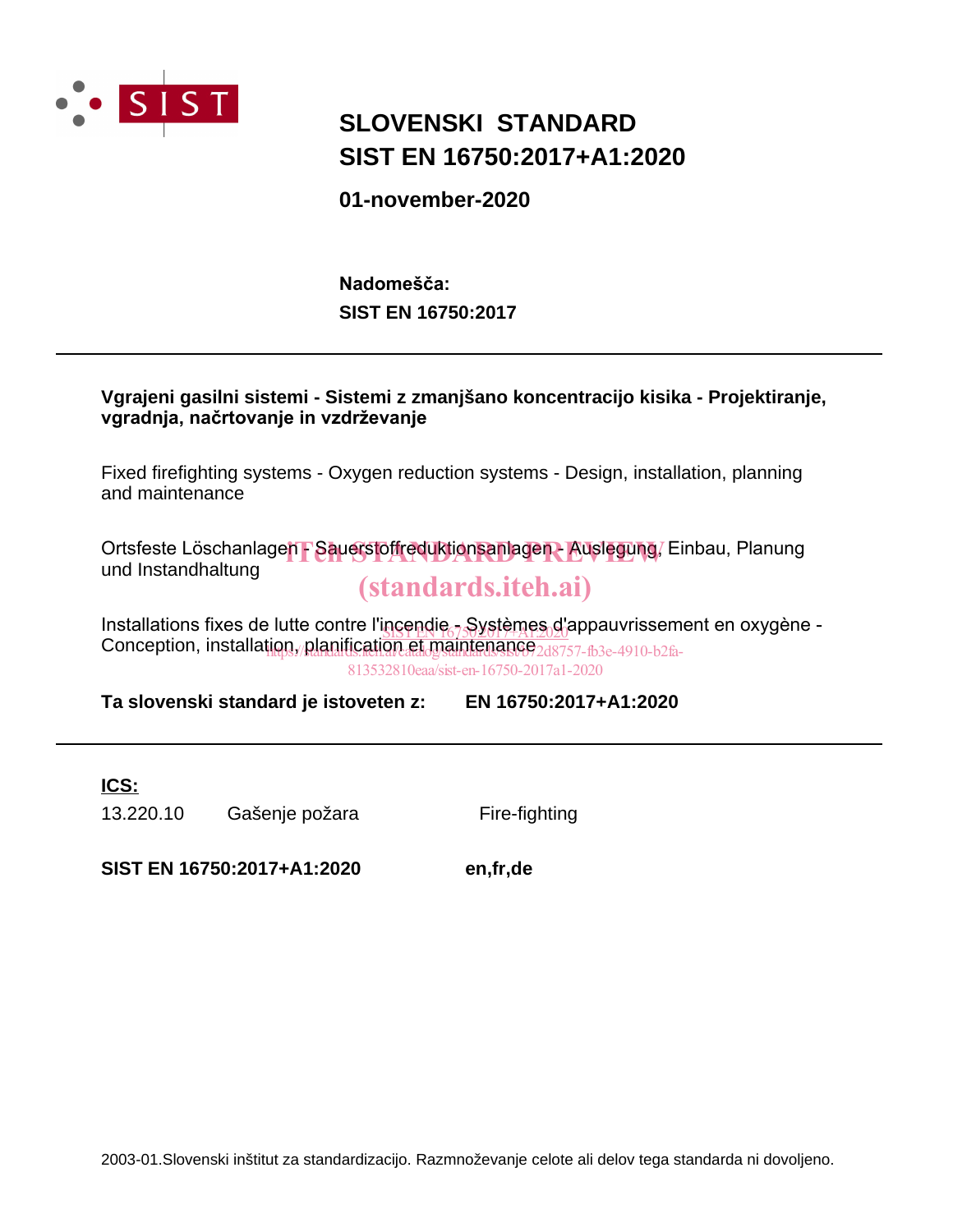

## **SLOVENSKI STANDARD SIST EN 16750:2017+A1:2020**

**01-november-2020**

**SIST EN 16750:2017 Nadomešča:**



Fixed firefighting systems - Oxygen reduction systems - Design, installation, planning and maintenance

Ortsfeste Löschanlage**n - Sauerstoffreduktionsanlagen - Auslegung**, Einbau, Planung<br>und Instandbaltung und Instandhaltung

## (standards.iteh.ai)

Installations fixes de lutte contre l'incendie - Systèmes d'appauvrissement en oxygène -<br>Contre l'installations de l'acceler de la contre l'incendie - Systèmes d'appauvrissement en oxygène -Conception, installation, planification et maintenance 248757-fb3e-4910-b2fa-813532810eaa/sist-en-16750-2017a1-2020

**Ta slovenski standard je istoveten z: EN 16750:2017+A1:2020**

**ICS:**

13.220.10 Gašenje požara Fire-fighting

**SIST EN 16750:2017+A1:2020 en,fr,de**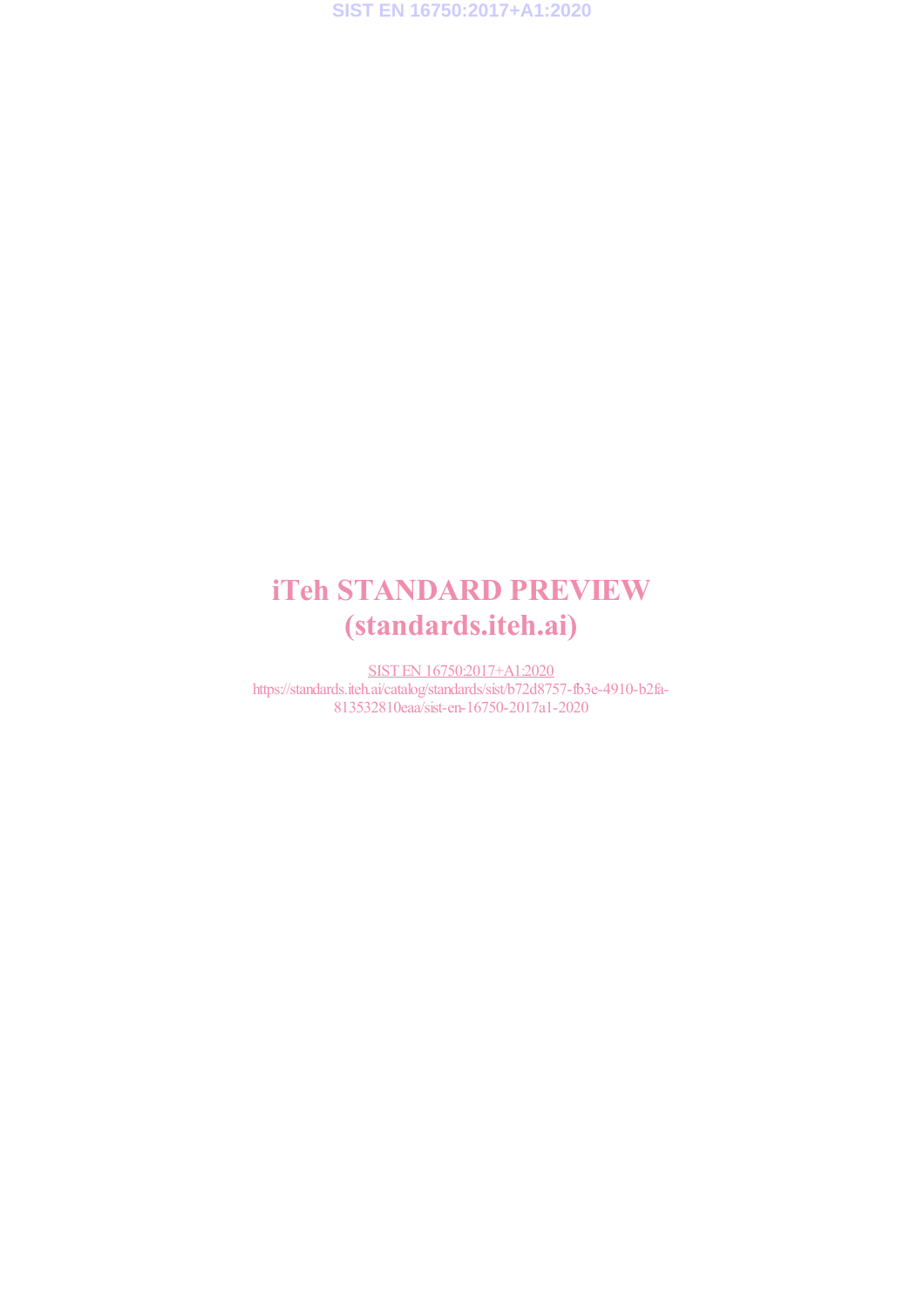## iTeh STANDARD PREVIEW (standards.iteh.ai)

SIST EN 16750:2017+A1:2020 https://standards.iteh.ai/catalog/standards/sist/b72d8757-fb3e-4910-b2fa-813532810eaa/sist-en-16750-2017a1-2020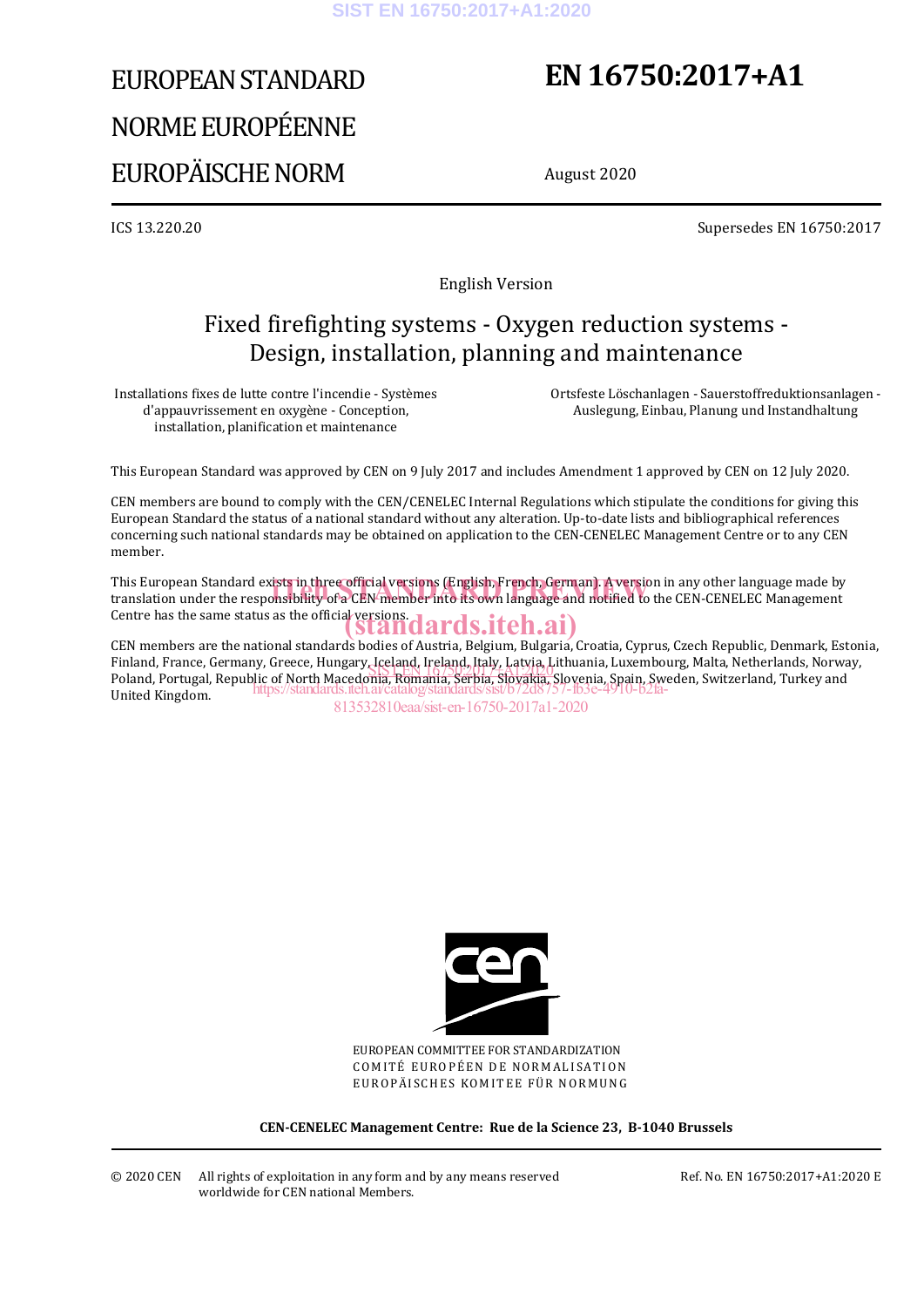# EUROPEAN STANDARD NORME EUROPÉENNE EUROPÄISCHE NORM

## **EN 16750:2017+A1**

August 2020

ICS 13.220.20 Supersedes EN 16750:2017

English Version

## Fixed firefighting systems - Oxygen reduction systems - Design, installation, planning and maintenance

Installations fixes de lutte contre l'incendie - Systèmes d'appauvrissement en oxygène - Conception, installation, planification et maintenance

 Ortsfeste Löschanlagen - Sauerstoffreduktionsanlagen - Auslegung, Einbau, Planung und Instandhaltung

This European Standard was approved by CEN on 9 July 2017 and includes Amendment 1 approved by CEN on 12 July 2020.

CEN members are bound to comply with the CEN/CENELEC Internal Regulations which stipulate the conditions for giving this European Standard the status of a national standard without any alteration. Up-to-date lists and bibliographical references concerning such national standards may be obtained on application to the CEN-CENELEC Management Centre or to any CEN member.

This European Standard exists in three official versions (English, French, German). A version in any other language made by This European Standard exists in three official versions (English, French, German). A version in any other language made by<br>translation under the responsibility of a CEN member into its own language and notified to the CEN Centre has the same status as the official versions.<br>
Standards.iteh.ai)

CEN members are the national standards bodies of Austria, Belgium, Bulgaria, Croatia, Cyprus, Czech Republic, Denmark, Estonia, Finland, France, Germany, Greece, Hungary, Iceland, Ireland, Italy, Latvia, Lithuania, Luxembourg, Malta, Netherlands, Norway, rinianu, ri ance, Germany, Greece, Hungary, Iceland, Ireland, Italy, Latvia, Lithuania, Luxembourg, Mana, Nemerianus, Norwa<br>Poland, Portugal, Republic of North Macedonia, Romania, Serbia, Slovakia, Slovenia, Spain, Sweden, United Kingdom. https://standards.iteh.ai/catalog/standards/sist/b72d8757-fb3e-4910-b2fa-

813532810eaa/sist-en-16750-2017a1-2020



EUROPEAN COMMITTEE FOR STANDARDIZATION COMITÉ EUROPÉEN DE NORMALISATION EUROPÄISCHES KOMITEE FÜR NORMUNG

**CEN-CENELEC Management Centre: Rue de la Science 23, B-1040 Brussels**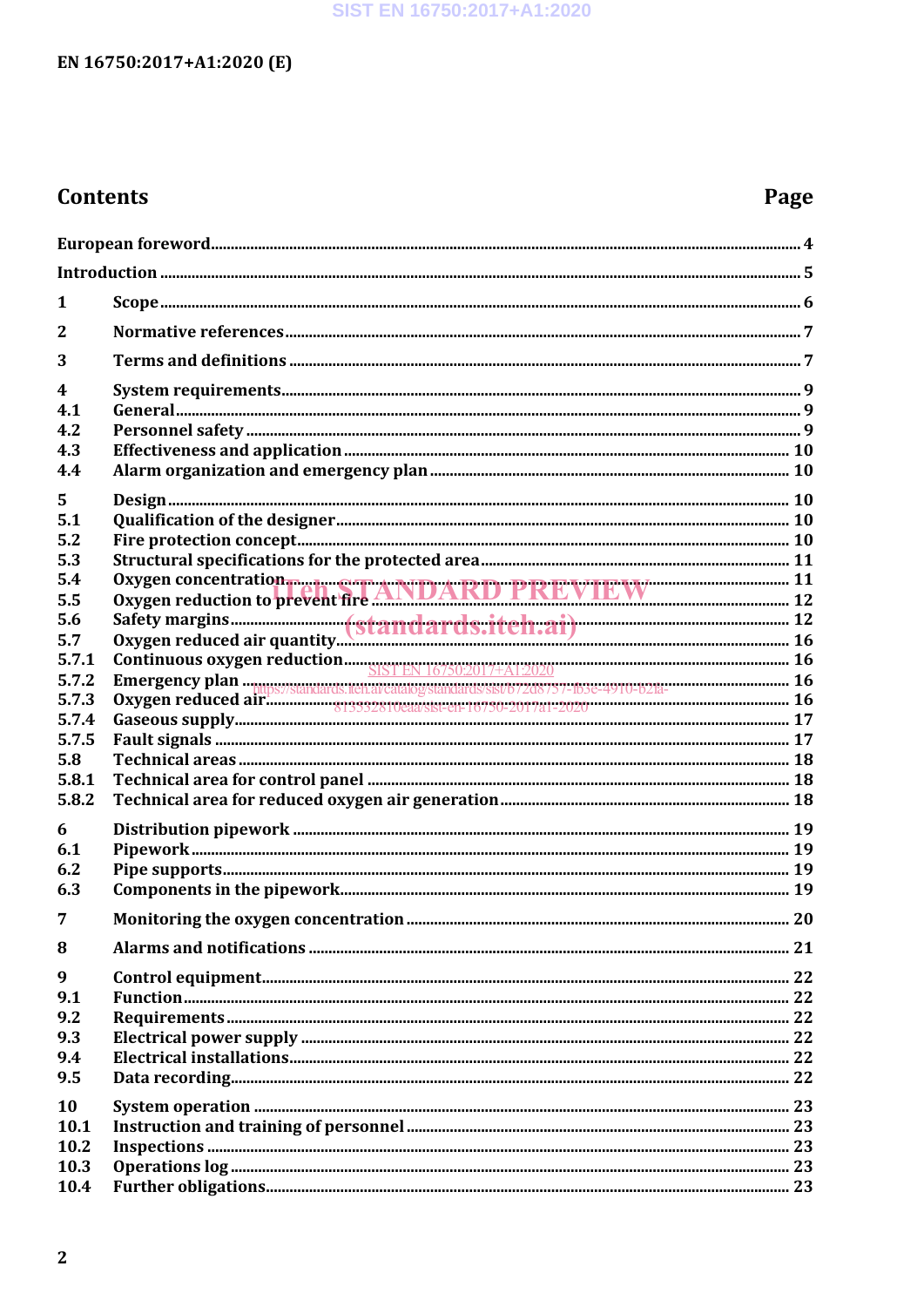### SIST EN 16750:2017+A1:2020

## EN 16750:2017+A1:2020 (E)

## **Contents**

## Page

| 1                       |                                                                               |    |  |
|-------------------------|-------------------------------------------------------------------------------|----|--|
| $\mathbf{2}$            |                                                                               |    |  |
| 3                       |                                                                               |    |  |
| $\overline{\mathbf{4}}$ |                                                                               |    |  |
| 4.1                     |                                                                               |    |  |
| 4.2                     |                                                                               |    |  |
| 4.3                     |                                                                               |    |  |
| 4.4                     |                                                                               |    |  |
| 5                       |                                                                               |    |  |
| 5.1                     |                                                                               |    |  |
| 5.2                     |                                                                               |    |  |
| 5.3                     |                                                                               |    |  |
| 5.4                     |                                                                               |    |  |
| 5.5                     | Oxygen concentration<br>Oxygen reduction to prevent fire ANDARD PREVIEW 12 12 |    |  |
| 5.6                     |                                                                               |    |  |
| 5.7                     |                                                                               |    |  |
| 5.7.1                   |                                                                               |    |  |
| 5.7.2                   |                                                                               |    |  |
| 5.7.3                   |                                                                               |    |  |
| 5.7.4                   |                                                                               |    |  |
| 5.7.5                   |                                                                               |    |  |
| 5.8                     |                                                                               |    |  |
| 5.8.1                   |                                                                               |    |  |
| 5.8.2                   |                                                                               |    |  |
|                         |                                                                               |    |  |
| 6                       |                                                                               |    |  |
| 6.1                     |                                                                               |    |  |
| 6.2                     |                                                                               |    |  |
| 6.3                     |                                                                               |    |  |
| $\overline{7}$          |                                                                               | 20 |  |
| 8                       |                                                                               |    |  |
| 9                       |                                                                               |    |  |
| 9.1                     |                                                                               |    |  |
| 9.2                     |                                                                               |    |  |
| 9.3                     |                                                                               |    |  |
| 9.4                     |                                                                               |    |  |
| 9.5                     |                                                                               |    |  |
| 10                      |                                                                               |    |  |
| 10.1                    |                                                                               |    |  |
| 10.2                    |                                                                               |    |  |
| 10.3                    |                                                                               |    |  |
| 10.4                    |                                                                               |    |  |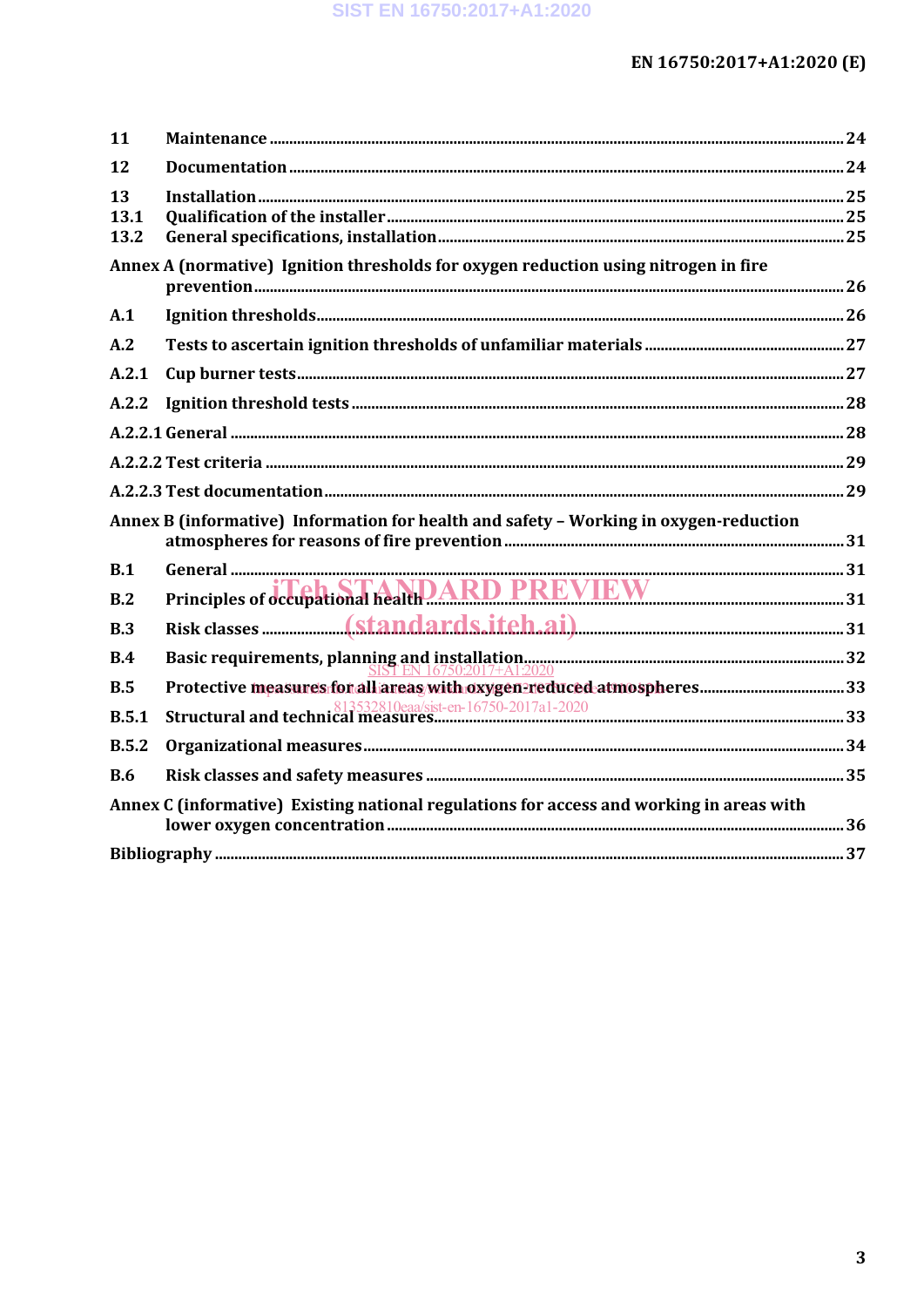| 11         |                                                                                          |  |
|------------|------------------------------------------------------------------------------------------|--|
| 12         |                                                                                          |  |
| 13         |                                                                                          |  |
| 13.1       |                                                                                          |  |
| 13.2       |                                                                                          |  |
|            | Annex A (normative) Ignition thresholds for oxygen reduction using nitrogen in fire      |  |
| A.1        |                                                                                          |  |
| A.2        |                                                                                          |  |
| A.2.1      |                                                                                          |  |
| A.2.2      |                                                                                          |  |
|            |                                                                                          |  |
|            |                                                                                          |  |
|            |                                                                                          |  |
|            | Annex B (informative) Information for health and safety - Working in oxygen-reduction    |  |
| B.1        |                                                                                          |  |
| B.2        | Principles of occupational healthDARD PREVIEW 31                                         |  |
| B.3        |                                                                                          |  |
| B.4        |                                                                                          |  |
| B.5        |                                                                                          |  |
| B.5.1      |                                                                                          |  |
| B.5.2      |                                                                                          |  |
| <b>B.6</b> |                                                                                          |  |
|            | Annex C (informative) Existing national regulations for access and working in areas with |  |
|            |                                                                                          |  |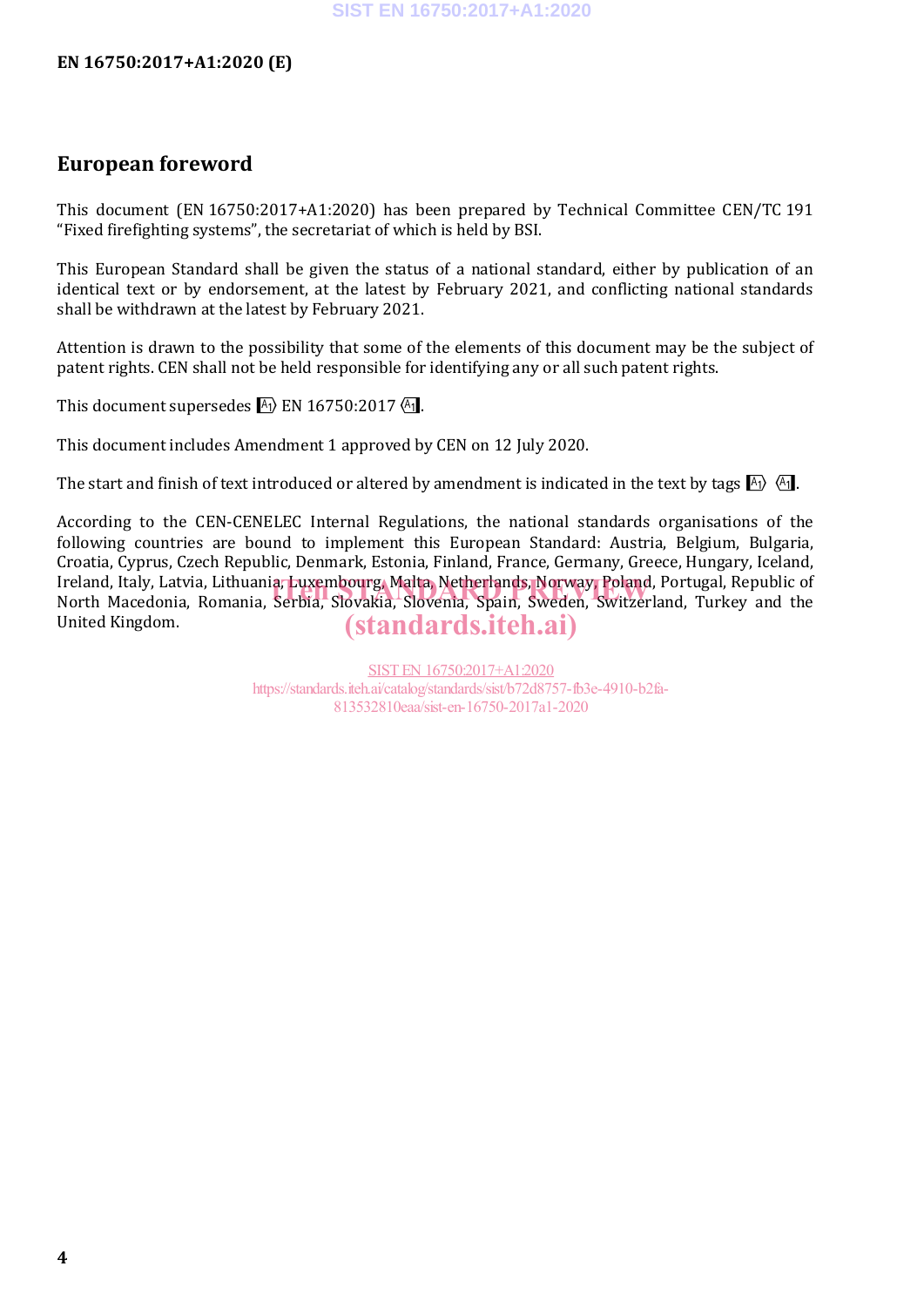### **European foreword**

This document (EN 16750:2017+A1:2020) has been prepared by Technical Committee CEN/TC 191 "Fixed firefighting systems", the secretariat of which is held by BSI.

This European Standard shall be given the status of a national standard, either by publication of an identical text or by endorsement, at the latest by February 2021, and conflicting national standards shall be withdrawn at the latest by February 2021.

Attention is drawn to the possibility that some of the elements of this document may be the subject of patent rights. CEN shall not be held responsible for identifying any or all such patent rights.

This document supersedes  $\mathbb{A}$  EN 16750:2017 $\mathbb{A}$ .

This document includes Amendment 1 approved by CEN on 12 July 2020.

The start and finish of text introduced or altered by amendment is indicated in the text by tags  $\ket{A_1}$ .

According to the CEN-CENELEC Internal Regulations, the national standards organisations of the following countries are bound to implement this European Standard: Austria, Belgium, Bulgaria, Croatia, Cyprus, Czech Republic, Denmark, Estonia, Finland, France, Germany, Greece, Hungary, Iceland, Ireland, Italy, Latvia, Lithuania, Luxembourg, Malta, Netherlands, Norway, Poland, Portugal, Republic of Ireland, Italy, Latvia, Lithuania, Luxembourg, Malta, Netherlands, Norway, Poland, Portugal, Republic of<br>North Macedonia, Romania, Serbia, Slovakia, Slovenia, Spain, Sweden, Switzerland, Turkey and the United Kingdom. (standards.iteh.ai)

> SIST EN 16750:2017+A1:2020 https://standards.iteh.ai/catalog/standards/sist/b72d8757-fb3e-4910-b2fa-813532810eaa/sist-en-16750-2017a1-2020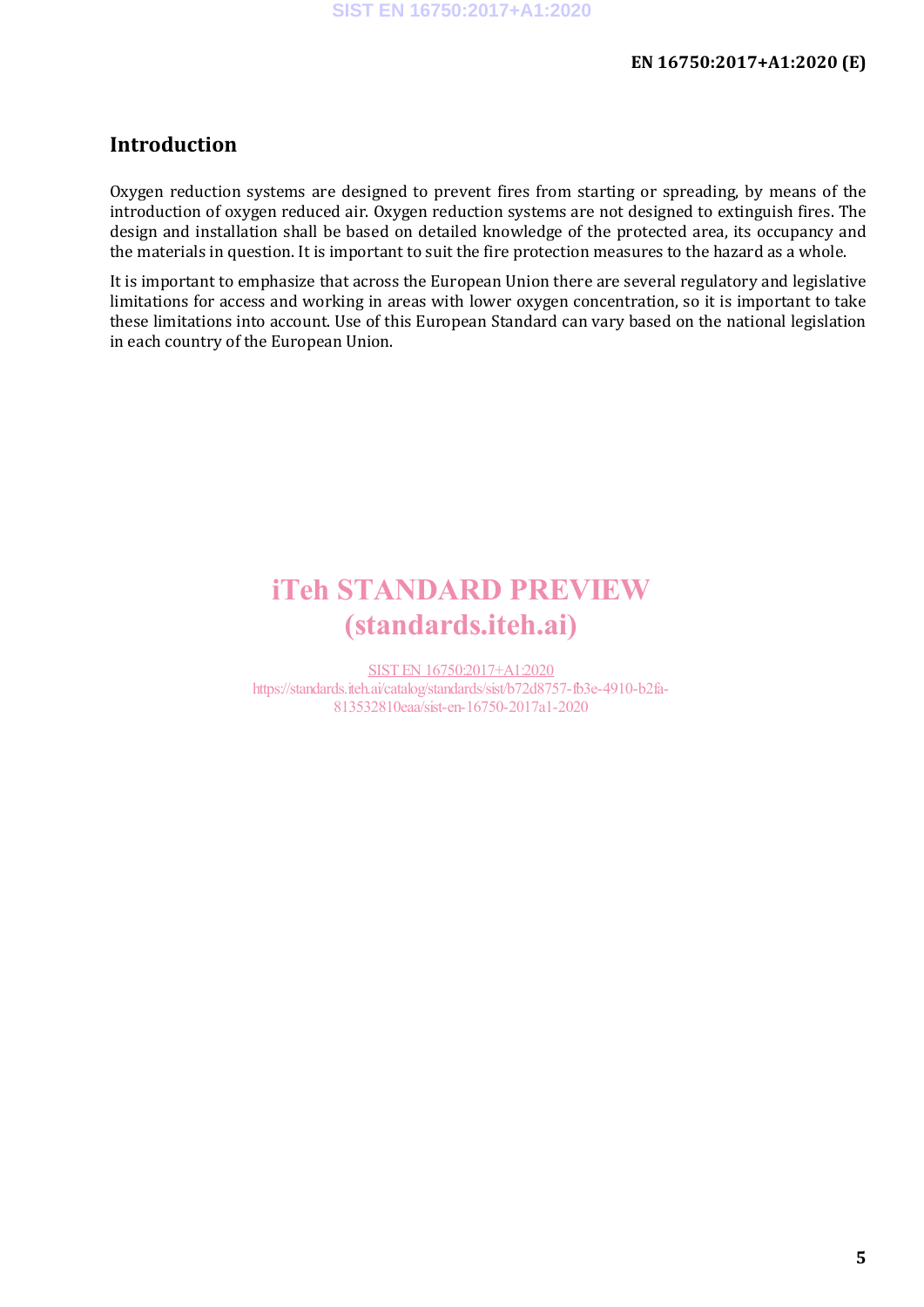### **Introduction**

Oxygen reduction systems are designed to prevent fires from starting or spreading, by means of the introduction of oxygen reduced air. Oxygen reduction systems are not designed to extinguish fires. The design and installation shall be based on detailed knowledge of the protected area, its occupancy and the materials in question. It is important to suit the fire protection measures to the hazard as a whole.

It is important to emphasize that across the European Union there are several regulatory and legislative limitations for access and working in areas with lower oxygen concentration, so it is important to take these limitations into account. Use of this European Standard can vary based on the national legislation in each country of the European Union.

## iTeh STANDARD PREVIEW (standards.iteh.ai)

SIST EN 16750:2017+A1:2020 https://standards.iteh.ai/catalog/standards/sist/b72d8757-fb3e-4910-b2fa-813532810eaa/sist-en-16750-2017a1-2020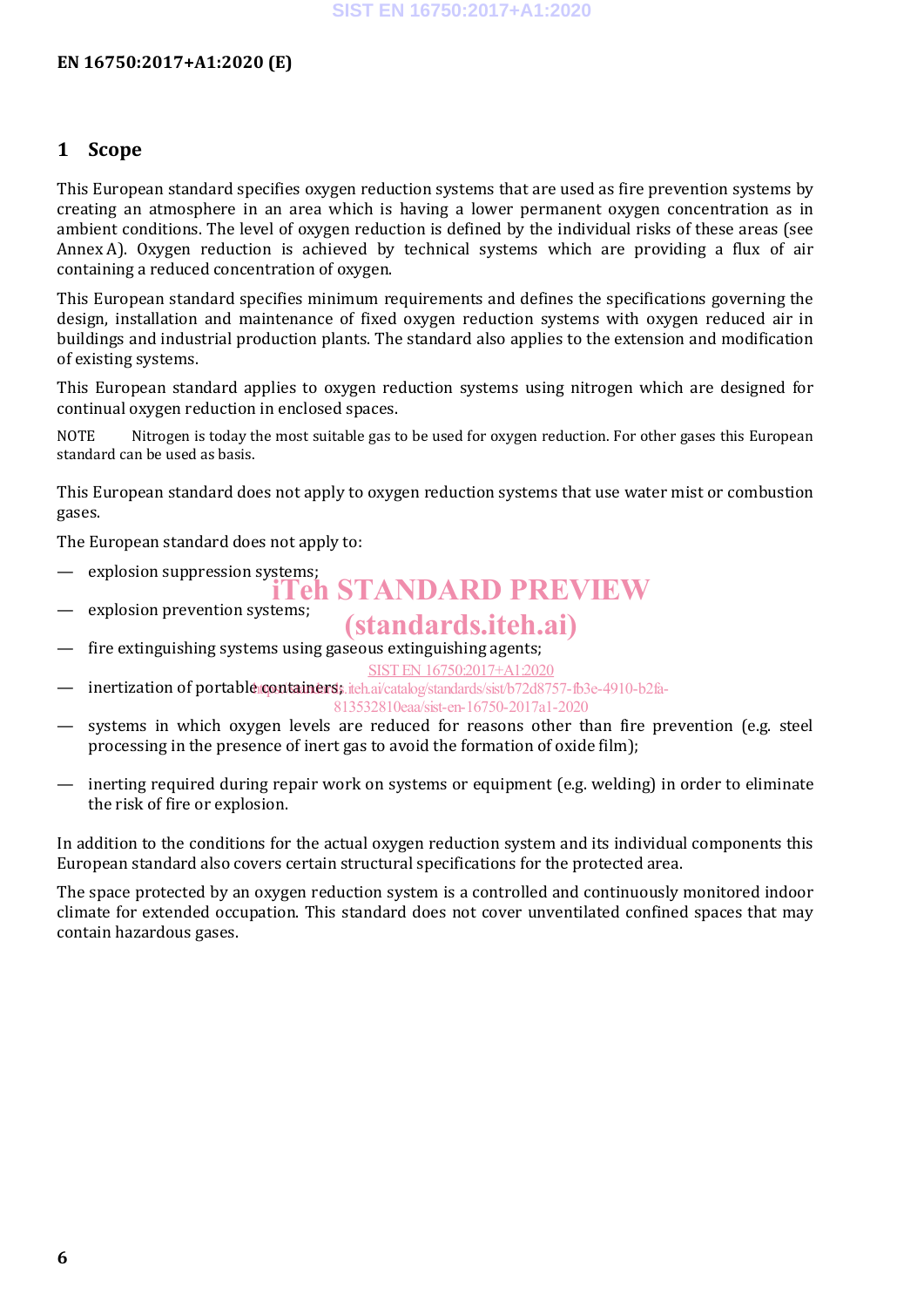#### **1 Scope**

This European standard specifies oxygen reduction systems that are used as fire prevention systems by creating an atmosphere in an area which is having a lower permanent oxygen concentration as in ambient conditions. The level of oxygen reduction is defined by the individual risks of these areas (see Annex A). Oxygen reduction is achieved by technical systems which are providing a flux of air containing a reduced concentration of oxygen.

This European standard specifies minimum requirements and defines the specifications governing the design, installation and maintenance of fixed oxygen reduction systems with oxygen reduced air in buildings and industrial production plants. The standard also applies to the extension and modification of existing systems.

This European standard applies to oxygen reduction systems using nitrogen which are designed for continual oxygen reduction in enclosed spaces.

NOTE Nitrogen is today the most suitable gas to be used for oxygen reduction. For other gases this European standard can be used as basis.

This European standard does not apply to oxygen reduction systems that use water mist or combustion gases.

The European standard does not apply to:

- explosion suppression systems; iTeh STANDARD PREVIEW
- explosion prevention systems;

## (standards.iteh.ai)

- fire extinguishing systems using gaseous extinguishing agents;
- inertization of portable containers, iteh.ai/catalog/standards/sist/b72d8757-fb3e-4910-b2fa-SIST EN 16750:2017+A1:2020 813532810eaa/sist-en-16750-2017a1-2020
- systems in which oxygen levels are reduced for reasons other than fire prevention (e.g. steel processing in the presence of inert gas to avoid the formation of oxide film);
- inerting required during repair work on systems or equipment (e.g. welding) in order to eliminate the risk of fire or explosion.

In addition to the conditions for the actual oxygen reduction system and its individual components this European standard also covers certain structural specifications for the protected area.

The space protected by an oxygen reduction system is a controlled and continuously monitored indoor climate for extended occupation. This standard does not cover unventilated confined spaces that may contain hazardous gases.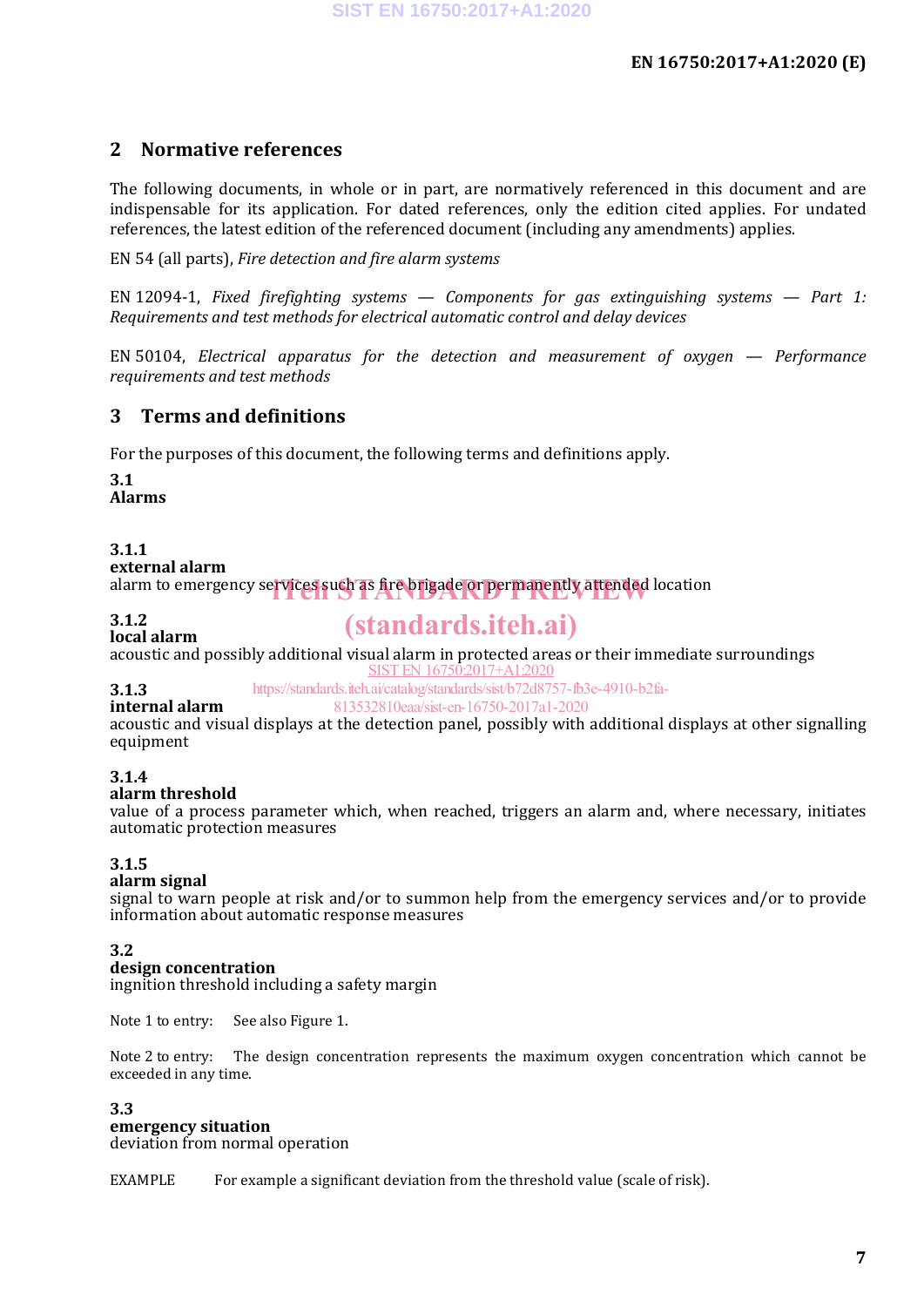### **2 Normative references**

The following documents, in whole or in part, are normatively referenced in this document and are indispensable for its application. For dated references, only the edition cited applies. For undated references, the latest edition of the referenced document (including any amendments) applies.

EN 54 (all parts), *Fire detection and fire alarm systems*

EN 12094-1, *Fixed firefighting systems — Components for gas extinguishing systems — Part 1: Requirements and test methods for electrical automatic control and delay devices*

EN 50104, *Electrical apparatus for the detection and measurement of oxygen — Performance requirements and test methods*

### **3 Terms and definitions**

For the purposes of this document, the following terms and definitions apply.

**3.1 Alarms**

#### **3.1.1**

**external alarm**

alarm to emergency services such as fire brigade or permanently attended location

#### **3.1.2**

**local alarm** (standards.iteh.ai)

acoustic and possibly additional visual alarm in protected areas or their immediate surroundings SIST EN 16750:2017+A1:2020

**3.1.3** https://standards.iteh.ai/catalog/standards/sist/b72d8757-fb3e-4910-b2fa-

**internal alarm** 813532810eaa/sist-en-16750-2017a1-2020

acoustic and visual displays at the detection panel, possibly with additional displays at other signalling equipment

#### **3.1.4**

#### **alarm threshold**

value of a process parameter which, when reached, triggers an alarm and, where necessary, initiates automatic protection measures

#### **3.1.5**

#### **alarm signal**

signal to warn people at risk and/or to summon help from the emergency services and/or to provide information about automatic response measures

#### **3.2**

#### **design concentration**

ingnition threshold including a safety margin

Note 1 to entry: See also Figure 1.

Note 2 to entry: The design concentration represents the maximum oxygen concentration which cannot be exceeded in any time.

#### **3.3**

#### **emergency situation**

deviation from normal operation

EXAMPLE For example a significant deviation from the threshold value (scale of risk).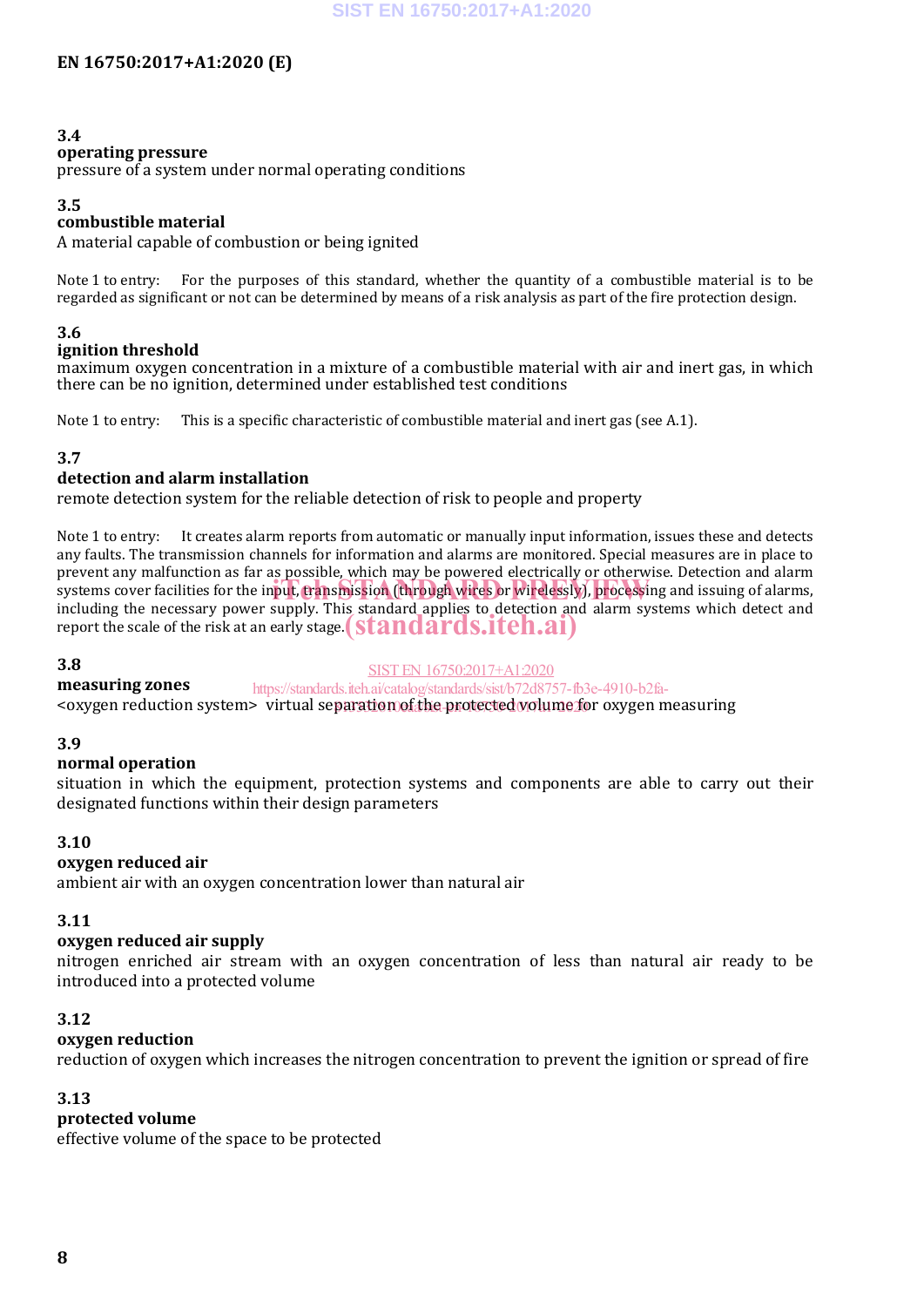#### **3.4**

#### **operating pressure**

pressure of a system under normal operating conditions

#### **3.5**

#### **combustible material**

A material capable of combustion or being ignited

Note 1 to entry: For the purposes of this standard, whether the quantity of a combustible material is to be regarded as significant or not can be determined by means of a risk analysis as part of the fire protection design.

#### **3.6**

#### **ignition threshold**

maximum oxygen concentration in a mixture of a combustible material with air and inert gas, in which there can be no ignition, determined under established test conditions

Note 1 to entry: This is a specific characteristic of combustible material and inert gas (see A.1).

#### **3.7**

#### **detection and alarm installation**

remote detection system for the reliable detection of risk to people and property

Note 1 to entry: It creates alarm reports from automatic or manually input information, issues these and detects any faults. The transmission channels for information and alarms are monitored. Special measures are in place to prevent any malfunction as far as possible, which may be powered electrically or otherwise. Detection and alarm systems cover facilities for the input, transmission (through wires or wirelessly), processing and issuing of alarms, systems cover facilities for the input, transmission (through wires or wirelessly), processing and issui including the necessary power supply. This standard applies to detection and alarm systems which detect and mendumg the necessary power supply. This standard applies to detection and<br>report the scale of the risk at an early stage. **(standards.iteh.ai)** 

#### **3.8**

SIST EN 16750:2017+A1:2020

**measuring zones** https://standards.iteh.ai/catalog/standards/sist/b72d8757-fb3e-4910-b2fa-

<oxygen reduction system> virtual sep<u>aration of the protected volume f</u>or oxygen measuring

#### **3.9**

#### **normal operation**

situation in which the equipment, protection systems and components are able to carry out their designated functions within their design parameters

#### **3.10**

#### **oxygen reduced air**

ambient air with an oxygen concentration lower than natural air

#### **3.11**

#### **oxygen reduced air supply**

nitrogen enriched air stream with an oxygen concentration of less than natural air ready to be introduced into a protected volume

#### **3.12**

#### **oxygen reduction**

reduction of oxygen which increases the nitrogen concentration to prevent the ignition or spread of fire

#### **3.13**

#### **protected volume**

effective volume of the space to be protected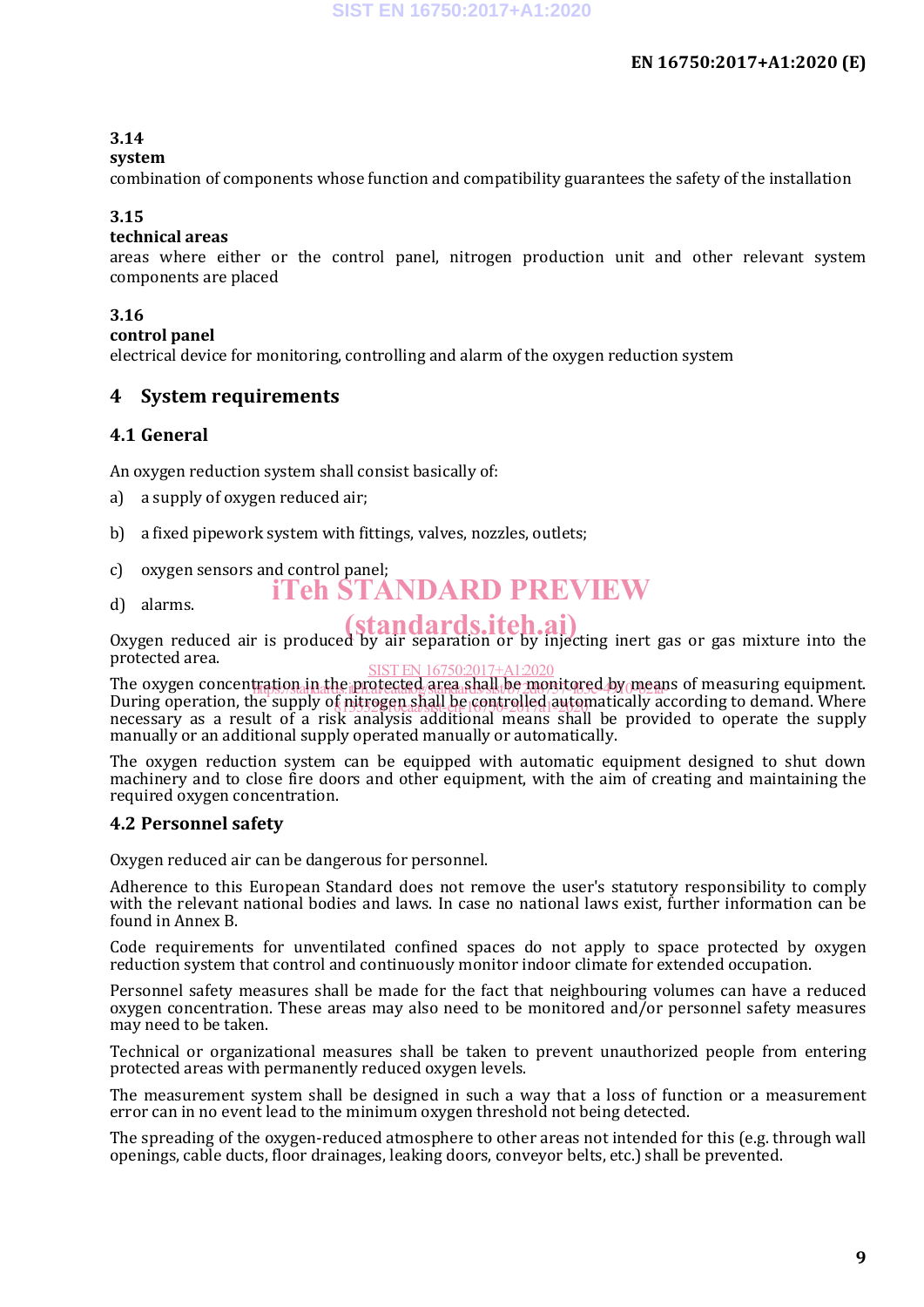#### **3.14**

#### **system**

combination of components whose function and compatibility guarantees the safety of the installation

#### **3.15**

#### **technical areas**

areas where either or the control panel, nitrogen production unit and other relevant system components are placed

#### **3.16**

#### **control panel**

electrical device for monitoring, controlling and alarm of the oxygen reduction system

#### **4 System requirements**

#### **4.1 General**

An oxygen reduction system shall consist basically of:

- a) a supply of oxygen reduced air;
- b) a fixed pipework system with fittings, valves, nozzles, outlets;
- c) oxygen sensors and control panel;
	- iTeh STANDARD PREVIEW
- d) alarms.

o, all the medicipal (**standards.iteh.ai**)<br>Oxygen reduced air is produced by air separation or by injecting inert gas or gas mixture into the protected area.

The oxygen concentration in the protected area shall be monitored by means of measuring equipment. During operation, the supply of nitrogen shall be controlled automatically according to demand. Where we have no necessary as a result of a risk analysis additional means shall be provided to operate the supply manually or an additional supply operated manually or automatically. SIST EN 16750:2017+A1:2020 tration.in.athe.iprofected.orga.shall.be.monitored.by/mear

The oxygen reduction system can be equipped with automatic equipment designed to shut down machinery and to close fire doors and other equipment, with the aim of creating and maintaining the required oxygen concentration.

#### **4.2 Personnel safety**

Oxygen reduced air can be dangerous for personnel.

Adherence to this European Standard does not remove the user's statutory responsibility to comply with the relevant national bodies and laws. In case no national laws exist, further information can be found in Annex B.

Code requirements for unventilated confined spaces do not apply to space protected by oxygen reduction system that control and continuously monitor indoor climate for extended occupation.

Personnel safety measures shall be made for the fact that neighbouring volumes can have a reduced oxygen concentration. These areas may also need to be monitored and/or personnel safety measures may need to be taken.

Technical or organizational measures shall be taken to prevent unauthorized people from entering protected areas with permanently reduced oxygen levels.

The measurement system shall be designed in such a way that a loss of function or a measurement error can in no event lead to the minimum oxygen threshold not being detected.

The spreading of the oxygen-reduced atmosphere to other areas not intended for this (e.g. through wall openings, cable ducts, floor drainages, leaking doors, conveyor belts, etc.) shall be prevented.